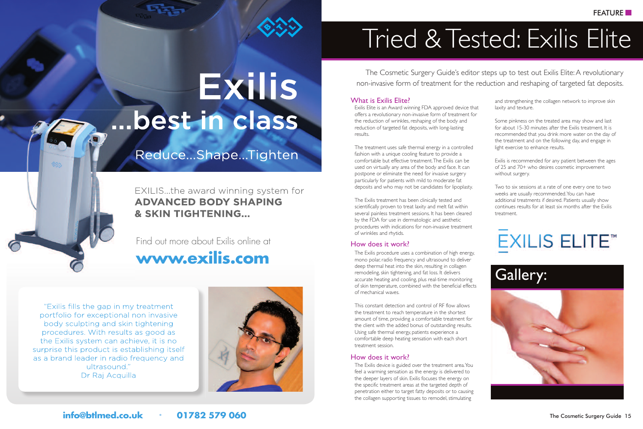# **Exilis** ... best in class

### Reduce...Shape...Tighten

EXILIS...the award winning system for **ADVANCED BODY SHAPING** & SKIN TIGHTENING...

**www.exilis.com** Find out more about Exilis online at

"Exilis fills the gap in my treatment portfolio for exceptional non invasive body sculpting and skin tightening procedures. With results as good as the Exilis system can achieve, it is no surprise this product is establishing itself as a brand leader in radio frequency and ultrasound." Dr Raj Acquilla



# Tried & Tested: Exilis Elite

The Cosmetic Surgery Guide's editor steps up to test out Exilis Elite:A revolutionary non-invasive form of treatment for the reduction and reshaping of targeted fat deposits.

#### What is Exilis Elite?

Exilis Elite is an Award winning FDA approved device that offers a revolutionary non-invasive form of treatment for the reduction of wrinkles, reshaping of the body and reduction of targeted fat deposits, with long-lasting results.

The treatment uses safe thermal energy in a controlled fashion with a unique cooling feature to provide a comfortable but effective treatment.The Exilis can be used on virtually any area of the body and face. It can postpone or eliminate the need for invasive surgery particularly for patients with mild to moderate fat deposits and who may not be candidates for lipoplasty.

The Exilis treatment has been clinically tested and scientifically proven to treat laxity and melt fat within several painless treatment sessions. It has been cleared by the FDA for use in dermatologic and aesthetic procedures with indications for non-invasive treatment of wrinkles and rhytids.

#### How does it work?

The Exilis procedure uses a combination of high energy, mono polar, radio frequency and ultrasound to deliver deep thermal heat into the skin, resulting in collagen remodeling, skin tightening, and fat loss. It delivers accurate heating and cooling, plus real-time monitoring of skin temperature, combined with the beneficial effects of mechanical waves.

This constant detection and control of RF flow allows the treatment to reach temperature in the shortest amount of time, providing a comfortable treatment for the client with the added bonus of outstanding results. Using safe thermal energy, patients experience a comfortable deep heating sensation with each short treatment session.

#### How does it work?

The Exilis device is guided over the treatment area.You feel a warming sensation as the energy is delivered to the deeper layers of skin. Exilis focuses the energy on the specific treatment areas at the targeted depth of penetration either to target fatty deposits or to causing the collagen supporting tissues to remodel, stimulating

and strengthening the collagen network to improve skin laxity and texture.

Some pinkness on the treated area may show and last for about 15-30 minutes after the Exilis treatment. It is recommended that you drink more water on the day of the treatment and on the following day, and engage in light exercise to enhance results.

Exilis is recommended for any patient between the ages of 25 and 70+ who desires cosmetic improvement without surgery.

Two to six sessions at a rate of one every one to two weeks are usually recommended.You can have additional treatments if desired. Patients usually show continues results for at least six months after the Exilis treatment.

# **EXILIS ELITE™**

## Gallery:

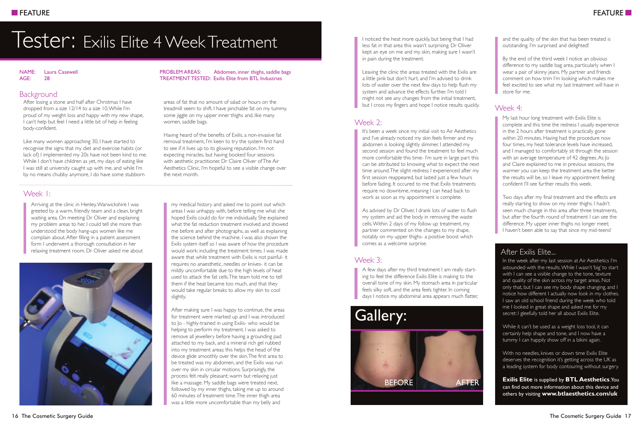## Tester: Exilis Elite 4 Week Treatment

#### NAME: Laura Casewell AGE: 28

#### **Background**

After losing a stone and half after Christmas I have dropped from a size 12/14 to a size 10.While I'm proud of my weight loss and happy with my new shape, I can't help but feel I need a little bit of help in feeling body-confident.

Like many women approaching 30, I have started to recognise the signs that my diet and exercise habits (or lack of) I implemented my 20s have not been kind to me. While I don't have children as yet, my days of eating like I was still at university caught up with me, and while I'm by no means chubby anymore, I do have some stubborn

#### Week 1:

Arriving at the clinic in Henley,Warwickshire I was greeted by a warm, friendly team and a clean, bright waiting area. On meeting Dr Oliver and explaining my problem areas to her, I could tell she more than understood the body hang-ups women like me complain about.After filling in a patient assessment form I underwent a thorough consultation in her relaxing treatment room. Dr Oliver asked me about



PROBLEM AREAS: Abdomen, inner thighs, saddle bags TREATMENT TESTED: Exilis Elite from BTL Industries

areas of fat that no amount of salad or hours on the treadmill seem to shift. I have pinchable fat on my tummy, some jiggle on my upper inner thighs and, like many women, saddle bags.

Having heard of the benefits of Exilis, a non-invasive fat removal treatment, I'm keen to try the system first hand to see if it lives up to its glowing reputation. I'm not expecting miracles, but having booked four sessions with aesthetic practitioner, Dr Claire Oliver ofThe Air Aesthetics Clinic, I'm hopeful to see a visible change over the next month.

my medical history and asked me to point out which areas I was unhappy with, before telling me what she hoped Exilis could do for me individually. She explained what the fat reduction treatment involved and showed me before and after photographs, as well as explaining the science behind the machine. I was also shown the Exilis system itself so I was aware of how the procedure would work; including the treatment times. I was made aware that while treatment with Exilis is not painful- it requires no anaesthetic, needles or knives- it can be mildly uncomfortable due to the high levels of heat used to attack the fat cells.The team told me to tell them if the heat became too much, and that they would take regular breaks to allow my skin to cool slightly.

After making sure I was happy to continue, the areas for treatment were marked up and I was introduced to Jo - highly-trained in using Exilis- who would be helping to perform my treatment. I was asked to remove all jewellery before having a grounding pad attached to my back, and a mineral rich gel rubbed into my treatment areas; this helps the head of the device glide smoothly over the skin.The first area to be treated was my abdomen, and the Exilis was run over my skin in circular motions. Surprisingly, the process felt really pleasant; warm but relaxing just like a massage. My saddle bags were treated next, followed by my inner thighs, taking me up to around 60 minutes of treatment time.The inner thigh area was a little more uncomfortable than my belly and

I noticed the heat more quickly, but being that I had less fat in that area this wasn't surprising. Dr Oliver kept an eye on me and my skin, making sure I wasn't in pain during the treatment.

Leaving the clinic the areas treated with the Exilis are a little pink but don't hurt, and I'm advised to drink lots of water over the next few days to help flush my system and advance the effects further. I'm told I might not see any changes from the initial treatment, but I cross my fingers and hope I notice results quickly.

#### $M$ eek  $2$

It's been a week since my initial visit to Air Aesthetics and I've already noticed my skin feels firmer and my abdomen is looking slightly slimmer. I attended my second session and found the treatment to feel much more comfortable this time- I'm sure in large part this can be attributed to knowing what to expect the next time around.The slight redness I experienced after my first session reappeared, but lasted just a few hours before fading. It occured to me that Exilis treatments require no downtime, meaning I can head back to work as soon as my appointment is complete.

As advised by Dr Oliver, I drank lots of water to flush my system and aid the body in removing the waste cells.Within 2 days of my follow up treatment, my partner commented on the changes to my shape, notably on my upper thighs- a positive boost which comes as a welcome surprise.

#### Week 3:

A few days after my third treatment I am really starting to feel the difference Exilis Elite is making to the overall tone of my skin. My stomach area in particular feels silky soft, and the area feels tighter. In coming days I notice my abdominal area appears much flatter,



and the quality of the skin that has been treated is outstanding. I'm surprised and delighted!

By the end of the third week I notice an obvious difference to my saddle bag area, particularly when I wear a pair of skinny jeans. My partner and friends comment on how trim I'm looking which makes me feel excited to see what my last treatment will have in store for me.

#### Week 4:

My last hour long treatment with Exilis Elite is complete and this time the redness I usually experience in the 2 hours after treatment is practically gone within 20 minutes. Having had the procedure now four times, my heat tolerance levels have increased, and I managed to comfortably sit through the session with an average temperature of 42 degrees.As Jo and Claire explained to me in previous sessions, the warmer you can keep the treatment area the better the results will be, so I leave my appointment feeling confident I'll see further results this week.

Two days after my final treatment and the effects are really starting to show on my inner thighs. I hadn't seen much change in this area after three treatments, but after the fourth round of treatment I can see the difference. My upper inner thighs no longer meet; I haven't been able to say that since my mid-teens!

#### After Exilis Elite...

In the week after my last session at Air Aesthetics I'm astounded with the results.While I wasn't 'big' to start with I can see a visible change to the tone, texture and quality of the skin across my target areas. Not only that, but I can see my body shape changing, and I notice how different I actually now look in my clothes. I saw an old school friend during the week who told me I looked in great shape and asked me for my secret: I gleefully told her all about Exilis Elite.

While it can't be used as a weight loss tool, it can certainly help shape and tone, and I now have a tummy I can happily show off in a bikini again.

With no needles, knives or down time Exilis Elite deserves the recognition it's getting across the UK as a leading system for body contouring without surgery.

**Exilis Elite** is supplied by **BTL Aesthetics**.You can find out more information about this device and others by visiting **www.btlaesthetics.com/uk**